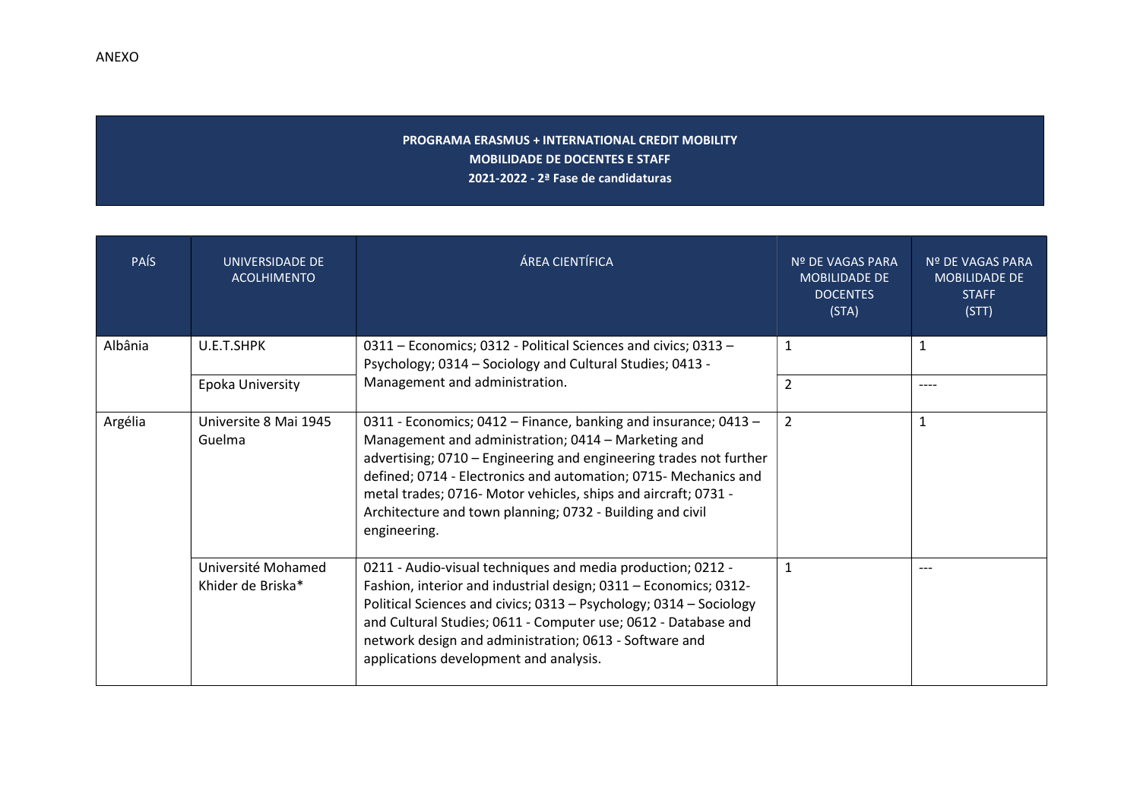## PROGRAMA ERASMUS + INTERNATIONAL CREDIT MOBILITY MOBILIDADE DE DOCENTES E STAFF 2021-2022 - 2ª Fase de candidaturas

| <b>PAÍS</b> | UNIVERSIDADE DE<br><b>ACOLHIMENTO</b>   | ÁREA CIENTÍFICA                                                                                                                                                                                                                                                                                                                                                                                                | Nº DE VAGAS PARA<br><b>MOBILIDADE DE</b><br><b>DOCENTES</b><br>(STA) | Nº DE VAGAS PARA<br><b>MOBILIDADE DE</b><br><b>STAFF</b><br>(STT) |
|-------------|-----------------------------------------|----------------------------------------------------------------------------------------------------------------------------------------------------------------------------------------------------------------------------------------------------------------------------------------------------------------------------------------------------------------------------------------------------------------|----------------------------------------------------------------------|-------------------------------------------------------------------|
| Albânia     | U.E.T.SHPK                              | 0311 – Economics; 0312 - Political Sciences and civics; 0313 –<br>Psychology; 0314 - Sociology and Cultural Studies; 0413 -                                                                                                                                                                                                                                                                                    | $\mathbf{1}$                                                         | 1                                                                 |
|             | Epoka University                        | Management and administration.                                                                                                                                                                                                                                                                                                                                                                                 | $\overline{2}$                                                       | $---$                                                             |
| Argélia     | Universite 8 Mai 1945<br>Guelma         | 0311 - Economics; 0412 – Finance, banking and insurance; 0413 –<br>Management and administration; 0414 - Marketing and<br>advertising; 0710 - Engineering and engineering trades not further<br>defined; 0714 - Electronics and automation; 0715- Mechanics and<br>metal trades; 0716- Motor vehicles, ships and aircraft; 0731 -<br>Architecture and town planning; 0732 - Building and civil<br>engineering. | $\overline{2}$                                                       | $\mathbf{1}$                                                      |
|             | Université Mohamed<br>Khider de Briska* | 0211 - Audio-visual techniques and media production; 0212 -<br>Fashion, interior and industrial design; 0311 - Economics; 0312-<br>Political Sciences and civics; 0313 - Psychology; 0314 - Sociology<br>and Cultural Studies; 0611 - Computer use; 0612 - Database and<br>network design and administration; 0613 - Software and<br>applications development and analysis.                                    | $\mathbf{1}$                                                         | $---$                                                             |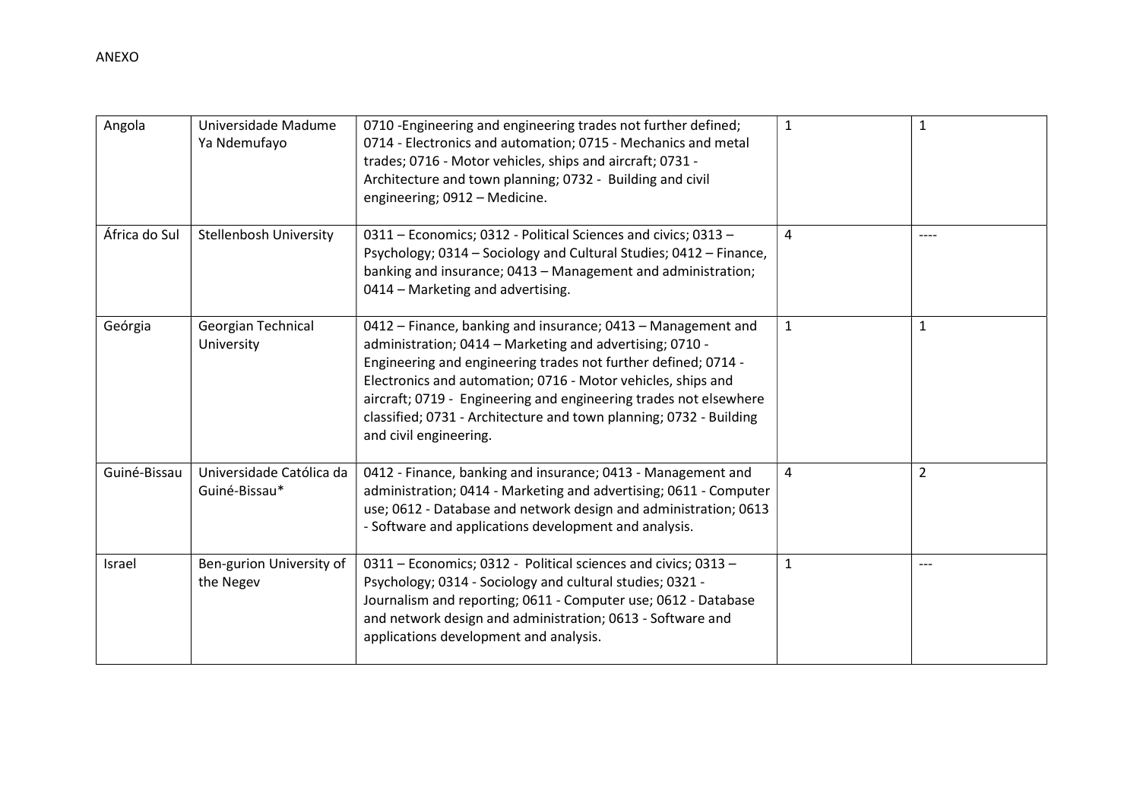| Angola        | Universidade Madume<br>Ya Ndemufayo       | 0710 - Engineering and engineering trades not further defined;<br>0714 - Electronics and automation; 0715 - Mechanics and metal<br>trades; 0716 - Motor vehicles, ships and aircraft; 0731 -<br>Architecture and town planning; 0732 - Building and civil<br>engineering; 0912 - Medicine.                                                                                                                                      | $\mathbf{1}$ | $\mathbf{1}$   |
|---------------|-------------------------------------------|---------------------------------------------------------------------------------------------------------------------------------------------------------------------------------------------------------------------------------------------------------------------------------------------------------------------------------------------------------------------------------------------------------------------------------|--------------|----------------|
| África do Sul | <b>Stellenbosh University</b>             | 0311 - Economics; 0312 - Political Sciences and civics; 0313 -<br>Psychology; 0314 - Sociology and Cultural Studies; 0412 - Finance,<br>banking and insurance; 0413 - Management and administration;<br>0414 - Marketing and advertising.                                                                                                                                                                                       | 4            | $---$          |
| Geórgia       | Georgian Technical<br>University          | 0412 – Finance, banking and insurance; 0413 – Management and<br>administration; 0414 - Marketing and advertising; 0710 -<br>Engineering and engineering trades not further defined; 0714 -<br>Electronics and automation; 0716 - Motor vehicles, ships and<br>aircraft; 0719 - Engineering and engineering trades not elsewhere<br>classified; 0731 - Architecture and town planning; 0732 - Building<br>and civil engineering. | $\mathbf{1}$ | $\mathbf{1}$   |
| Guiné-Bissau  | Universidade Católica da<br>Guiné-Bissau* | 0412 - Finance, banking and insurance; 0413 - Management and<br>administration; 0414 - Marketing and advertising; 0611 - Computer<br>use; 0612 - Database and network design and administration; 0613<br>- Software and applications development and analysis.                                                                                                                                                                  | 4            | $\overline{2}$ |
| Israel        | Ben-gurion University of<br>the Negev     | 0311 - Economics; 0312 - Political sciences and civics; 0313 -<br>Psychology; 0314 - Sociology and cultural studies; 0321 -<br>Journalism and reporting; 0611 - Computer use; 0612 - Database<br>and network design and administration; 0613 - Software and<br>applications development and analysis.                                                                                                                           | 1            | $---$          |